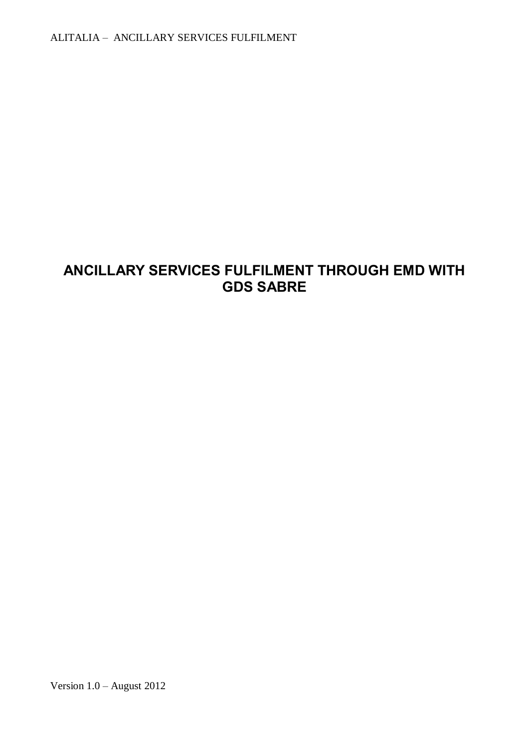# **ANCILLARY SERVICES FULFILMENT THROUGH EMD WITH GDS SABRE**

Version 1.0 – August 2012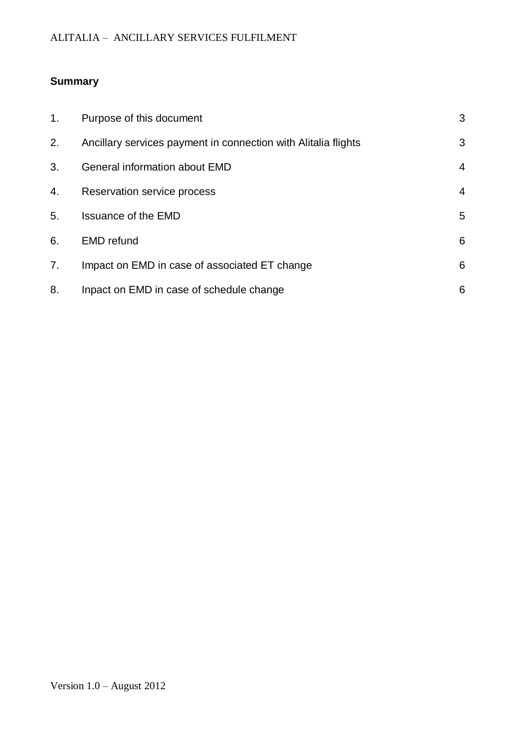# **Summary**

| 1. | Purpose of this document                                       | 3              |
|----|----------------------------------------------------------------|----------------|
| 2. | Ancillary services payment in connection with Alitalia flights | 3              |
| 3. | General information about EMD                                  | 4              |
| 4. | Reservation service process                                    | $\overline{4}$ |
| 5. | <b>Issuance of the EMD</b>                                     | 5              |
| 6. | <b>EMD</b> refund                                              | 6              |
| 7. | Impact on EMD in case of associated ET change                  | 6              |
| 8. | Inpact on EMD in case of schedule change                       | 6              |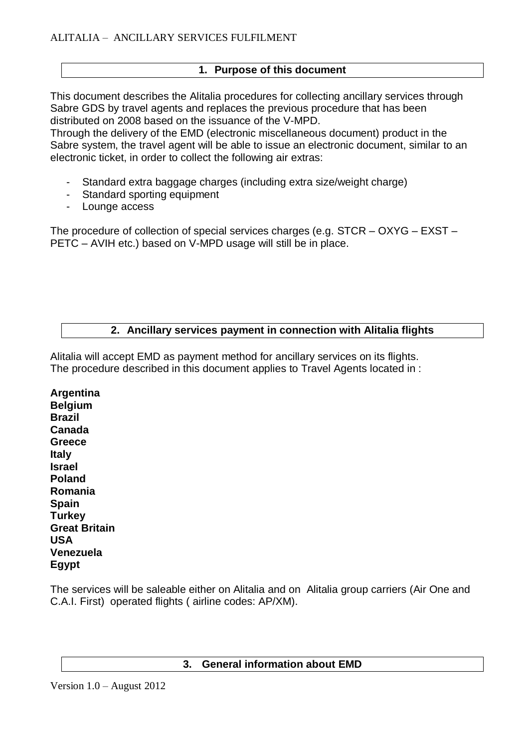# **1. Purpose of this document**

This document describes the Alitalia procedures for collecting ancillary services through Sabre GDS by travel agents and replaces the previous procedure that has been distributed on 2008 based on the issuance of the V-MPD.

Through the delivery of the EMD (electronic miscellaneous document) product in the Sabre system, the travel agent will be able to issue an electronic document, similar to an electronic ticket, in order to collect the following air extras:

- Standard extra baggage charges (including extra size/weight charge)
- Standard sporting equipment
- Lounge access

The procedure of collection of special services charges (e.g. STCR – OXYG – EXST – PETC – AVIH etc.) based on V-MPD usage will still be in place.

# **2. Ancillary services payment in connection with Alitalia flights**

Alitalia will accept EMD as payment method for ancillary services on its flights. The procedure described in this document applies to Travel Agents located in :

**Argentina Belgium Brazil Canada Greece Italy Israel Poland Romania Spain Turkey Great Britain USA Venezuela Egypt**

The services will be saleable either on Alitalia and on Alitalia group carriers (Air One and C.A.I. First) operated flights ( airline codes: AP/XM).

#### **3. General information about EMD**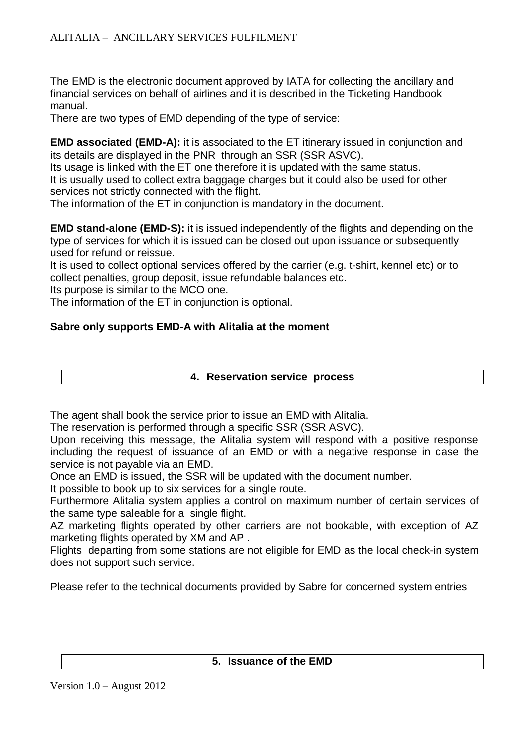The EMD is the electronic document approved by IATA for collecting the ancillary and financial services on behalf of airlines and it is described in the Ticketing Handbook manual.

There are two types of EMD depending of the type of service:

**EMD associated (EMD-A):** it is associated to the ET itinerary issued in conjunction and its details are displayed in the PNR through an SSR (SSR ASVC).

Its usage is linked with the ET one therefore it is updated with the same status. It is usually used to collect extra baggage charges but it could also be used for other services not strictly connected with the flight.

The information of the ET in conjunction is mandatory in the document.

**EMD stand-alone (EMD-S):** it is issued independently of the flights and depending on the type of services for which it is issued can be closed out upon issuance or subsequently used for refund or reissue.

It is used to collect optional services offered by the carrier (e.g. t-shirt, kennel etc) or to collect penalties, group deposit, issue refundable balances etc.

Its purpose is similar to the MCO one.

The information of the ET in conjunction is optional.

# **Sabre only supports EMD-A with Alitalia at the moment**

#### **4. Reservation service process**

The agent shall book the service prior to issue an EMD with Alitalia.

The reservation is performed through a specific SSR (SSR ASVC).

Upon receiving this message, the Alitalia system will respond with a positive response including the request of issuance of an EMD or with a negative response in case the service is not payable via an EMD.

Once an EMD is issued, the SSR will be updated with the document number.

It possible to book up to six services for a single route.

Furthermore Alitalia system applies a control on maximum number of certain services of the same type saleable for a single flight.

AZ marketing flights operated by other carriers are not bookable, with exception of AZ marketing flights operated by XM and AP .

Flights departing from some stations are not eligible for EMD as the local check-in system does not support such service.

Please refer to the technical documents provided by Sabre for concerned system entries

#### **5. Issuance of the EMD**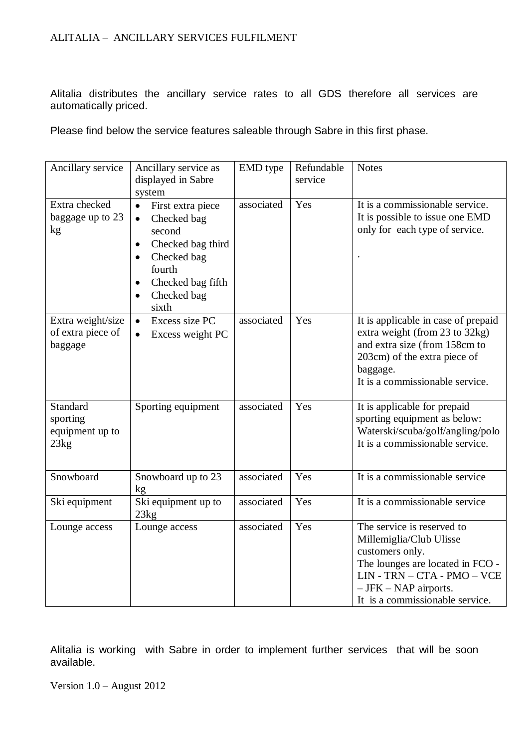Alitalia distributes the ancillary service rates to all GDS therefore all services are automatically priced.

Please find below the service features saleable through Sabre in this first phase.

| Ancillary service                                 | Ancillary service as<br>displayed in Sabre<br>system                                                                                                                         | EMD type   | Refundable<br>service | <b>Notes</b>                                                                                                                                                                                                |
|---------------------------------------------------|------------------------------------------------------------------------------------------------------------------------------------------------------------------------------|------------|-----------------------|-------------------------------------------------------------------------------------------------------------------------------------------------------------------------------------------------------------|
| Extra checked<br>baggage up to 23<br>kg           | First extra piece<br>$\bullet$<br>Checked bag<br>$\bullet$<br>second<br>Checked bag third<br>$\bullet$<br>Checked bag<br>fourth<br>Checked bag fifth<br>Checked bag<br>sixth | associated | Yes                   | It is a commissionable service.<br>It is possible to issue one EMD<br>only for each type of service.                                                                                                        |
| Extra weight/size<br>of extra piece of<br>baggage | Excess size PC<br>$\bullet$<br>Excess weight PC<br>$\bullet$                                                                                                                 | associated | Yes                   | It is applicable in case of prepaid<br>extra weight (from 23 to 32kg)<br>and extra size (from 158cm to<br>203cm) of the extra piece of<br>baggage.<br>It is a commissionable service.                       |
| Standard<br>sporting<br>equipment up to<br>23kg   | Sporting equipment                                                                                                                                                           | associated | Yes                   | It is applicable for prepaid<br>sporting equipment as below:<br>Waterski/scuba/golf/angling/polo<br>It is a commissionable service.                                                                         |
| Snowboard                                         | Snowboard up to 23<br>kg                                                                                                                                                     | associated | Yes                   | It is a commissionable service                                                                                                                                                                              |
| Ski equipment                                     | Ski equipment up to<br>23kg                                                                                                                                                  | associated | Yes                   | It is a commissionable service                                                                                                                                                                              |
| Lounge access                                     | Lounge access                                                                                                                                                                | associated | Yes                   | The service is reserved to<br>Millemiglia/Club Ulisse<br>customers only.<br>The lounges are located in FCO -<br>LIN - TRN - CTA - PMO - VCE<br>$-$ JFK $-$ NAP airports.<br>It is a commissionable service. |

Alitalia is working with Sabre in order to implement further services that will be soon available.

Version 1.0 – August 2012